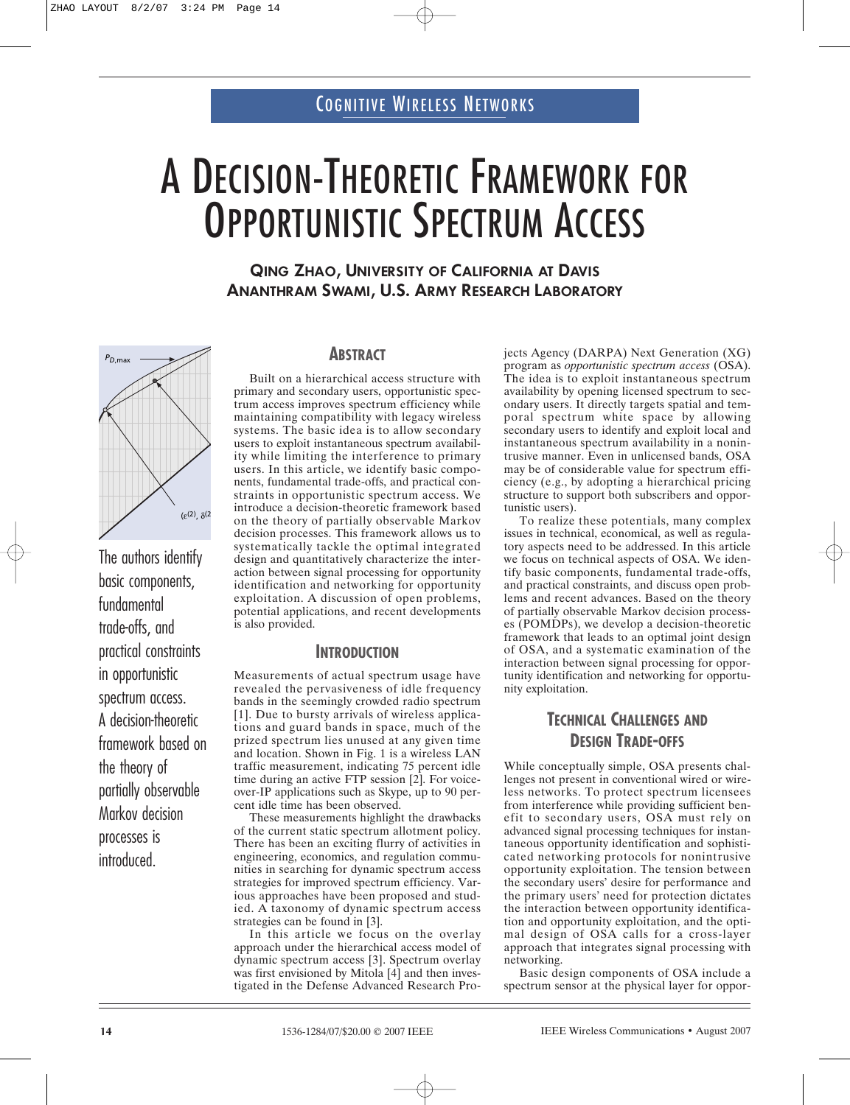# A DECISION-THEORETIC FRAMEWORK FOR OPPORTUNISTIC SPECTRUM ACCESS

**QING ZHAO, UNIVERSITY OF CALIFORNIA AT DAVIS ANANTHRAM SWAMI, U.S. ARMY RESEARCH LABORATORY**



The authors identify basic components, fundamental trade-offs, and practical constraints in opportunistic spectrum access. A decision-theoretic framework based on the theory of partially observable Markov decision processes is introduced.

## **ABSTRACT**

Built on a hierarchical access structure with primary and secondary users, opportunistic spectrum access improves spectrum efficiency while maintaining compatibility with legacy wireless systems. The basic idea is to allow secondary users to exploit instantaneous spectrum availability while limiting the interference to primary users. In this article, we identify basic components, fundamental trade-offs, and practical constraints in opportunistic spectrum access. We introduce a decision-theoretic framework based on the theory of partially observable Markov decision processes. This framework allows us to systematically tackle the optimal integrated design and quantitatively characterize the interaction between signal processing for opportunity identification and networking for opportunity exploitation. A discussion of open problems, potential applications, and recent developments is also provided.

## **INTRODUCTION**

Measurements of actual spectrum usage have revealed the pervasiveness of idle frequency bands in the seemingly crowded radio spectrum [1]. Due to bursty arrivals of wireless applications and guard bands in space, much of the prized spectrum lies unused at any given time and location. Shown in Fig. 1 is a wireless LAN traffic measurement, indicating 75 percent idle time during an active FTP session [2]. For voiceover-IP applications such as Skype, up to 90 percent idle time has been observed.

These measurements highlight the drawbacks of the current static spectrum allotment policy. There has been an exciting flurry of activities in engineering, economics, and regulation communities in searching for dynamic spectrum access strategies for improved spectrum efficiency. Various approaches have been proposed and studied. A taxonomy of dynamic spectrum access strategies can be found in [3].

In this article we focus on the overlay approach under the hierarchical access model of dynamic spectrum access [3]. Spectrum overlay was first envisioned by Mitola [4] and then investigated in the Defense Advanced Research Projects Agency (DARPA) Next Generation (XG) program as *opportunistic spectrum access* (OSA). The idea is to exploit instantaneous spectrum availability by opening licensed spectrum to secondary users. It directly targets spatial and temporal spectrum white space by allowing secondary users to identify and exploit local and instantaneous spectrum availability in a nonintrusive manner. Even in unlicensed bands, OSA may be of considerable value for spectrum efficiency (e.g., by adopting a hierarchical pricing structure to support both subscribers and opportunistic users).

To realize these potentials, many complex issues in technical, economical, as well as regulatory aspects need to be addressed. In this article we focus on technical aspects of OSA. We identify basic components, fundamental trade-offs, and practical constraints, and discuss open problems and recent advances. Based on the theory of partially observable Markov decision processes (POMDPs), we develop a decision-theoretic framework that leads to an optimal joint design of OSA, and a systematic examination of the interaction between signal processing for opportunity identification and networking for opportunity exploitation.

# **TECHNICAL CHALLENGES AND DESIGN TRADE-OFFS**

While conceptually simple, OSA presents challenges not present in conventional wired or wireless networks. To protect spectrum licensees from interference while providing sufficient benefit to secondary users, OSA must rely on advanced signal processing techniques for instantaneous opportunity identification and sophisticated networking protocols for nonintrusive opportunity exploitation. The tension between the secondary users' desire for performance and the primary users' need for protection dictates the interaction between opportunity identification and opportunity exploitation, and the optimal design of OSA calls for a cross-layer approach that integrates signal processing with networking.

Basic design components of OSA include a spectrum sensor at the physical layer for oppor-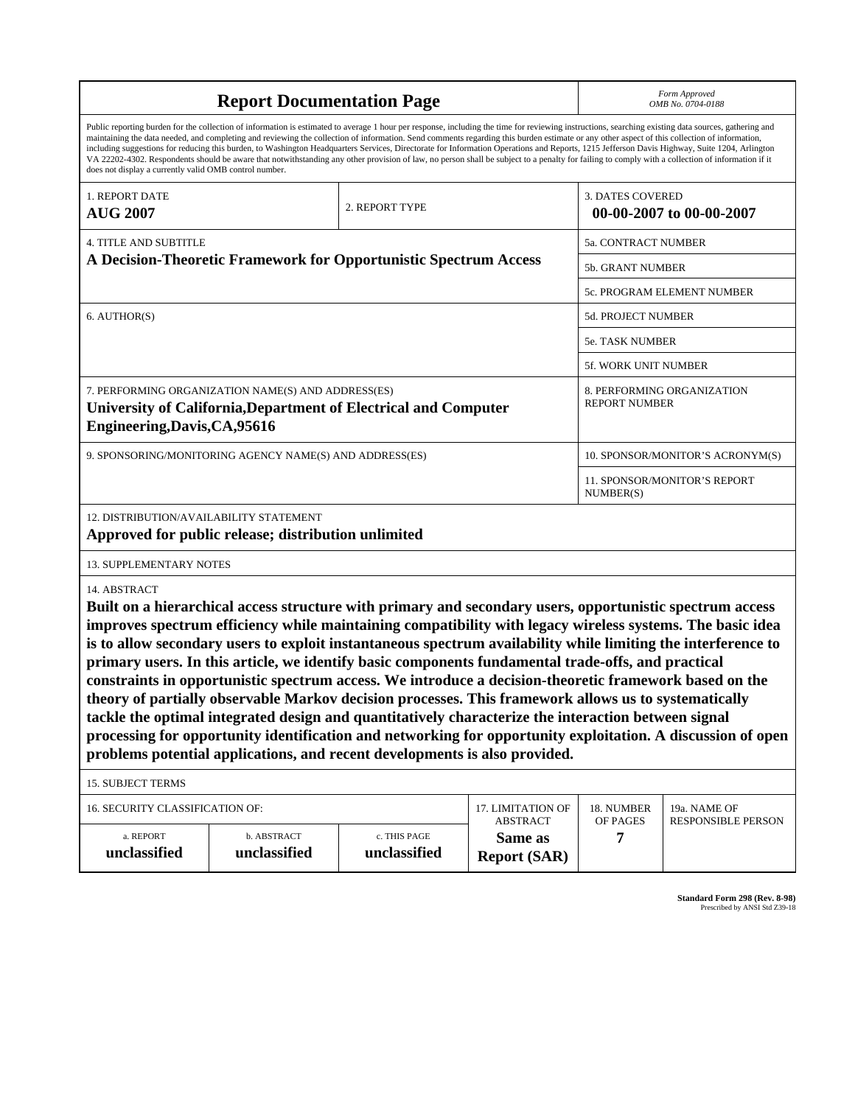| <b>Report Documentation Page</b>                                                                                                                                                                                                                                                                                                                                                                                                                                                                                                                                                                                                                                                                                                                                                                                                                                                                                                                                                   |                             |                                           |                                                   | Form Approved<br>OMB No. 0704-0188                 |                           |  |
|------------------------------------------------------------------------------------------------------------------------------------------------------------------------------------------------------------------------------------------------------------------------------------------------------------------------------------------------------------------------------------------------------------------------------------------------------------------------------------------------------------------------------------------------------------------------------------------------------------------------------------------------------------------------------------------------------------------------------------------------------------------------------------------------------------------------------------------------------------------------------------------------------------------------------------------------------------------------------------|-----------------------------|-------------------------------------------|---------------------------------------------------|----------------------------------------------------|---------------------------|--|
| Public reporting burden for the collection of information is estimated to average 1 hour per response, including the time for reviewing instructions, searching existing data sources, gathering and<br>maintaining the data needed, and completing and reviewing the collection of information. Send comments regarding this burden estimate or any other aspect of this collection of information,<br>including suggestions for reducing this burden, to Washington Headquarters Services, Directorate for Information Operations and Reports, 1215 Jefferson Davis Highway, Suite 1204, Arlington<br>VA 22202-4302. Respondents should be aware that notwithstanding any other provision of law, no person shall be subject to a penalty for failing to comply with a collection of information if it<br>does not display a currently valid OMB control number.                                                                                                                 |                             |                                           |                                                   |                                                    |                           |  |
| 1. REPORT DATE<br><b>AUG 2007</b>                                                                                                                                                                                                                                                                                                                                                                                                                                                                                                                                                                                                                                                                                                                                                                                                                                                                                                                                                  |                             | 2. REPORT TYPE                            |                                                   | <b>3. DATES COVERED</b>                            | 00-00-2007 to 00-00-2007  |  |
| <b>4. TITLE AND SUBTITLE</b>                                                                                                                                                                                                                                                                                                                                                                                                                                                                                                                                                                                                                                                                                                                                                                                                                                                                                                                                                       |                             | 5a. CONTRACT NUMBER                       |                                                   |                                                    |                           |  |
| A Decision-Theoretic Framework for Opportunistic Spectrum Access                                                                                                                                                                                                                                                                                                                                                                                                                                                                                                                                                                                                                                                                                                                                                                                                                                                                                                                   |                             | 5b. GRANT NUMBER                          |                                                   |                                                    |                           |  |
|                                                                                                                                                                                                                                                                                                                                                                                                                                                                                                                                                                                                                                                                                                                                                                                                                                                                                                                                                                                    |                             |                                           |                                                   | 5c. PROGRAM ELEMENT NUMBER                         |                           |  |
| 6. AUTHOR(S)                                                                                                                                                                                                                                                                                                                                                                                                                                                                                                                                                                                                                                                                                                                                                                                                                                                                                                                                                                       |                             |                                           |                                                   | 5d. PROJECT NUMBER                                 |                           |  |
|                                                                                                                                                                                                                                                                                                                                                                                                                                                                                                                                                                                                                                                                                                                                                                                                                                                                                                                                                                                    |                             |                                           |                                                   | 5e. TASK NUMBER                                    |                           |  |
|                                                                                                                                                                                                                                                                                                                                                                                                                                                                                                                                                                                                                                                                                                                                                                                                                                                                                                                                                                                    |                             |                                           |                                                   | 5f. WORK UNIT NUMBER                               |                           |  |
| 7. PERFORMING ORGANIZATION NAME(S) AND ADDRESS(ES)<br>University of California, Department of Electrical and Computer<br>Engineering, Davis, CA, 95616                                                                                                                                                                                                                                                                                                                                                                                                                                                                                                                                                                                                                                                                                                                                                                                                                             |                             |                                           |                                                   | 8. PERFORMING ORGANIZATION<br><b>REPORT NUMBER</b> |                           |  |
| 9. SPONSORING/MONITORING AGENCY NAME(S) AND ADDRESS(ES)                                                                                                                                                                                                                                                                                                                                                                                                                                                                                                                                                                                                                                                                                                                                                                                                                                                                                                                            |                             |                                           |                                                   | 10. SPONSOR/MONITOR'S ACRONYM(S)                   |                           |  |
|                                                                                                                                                                                                                                                                                                                                                                                                                                                                                                                                                                                                                                                                                                                                                                                                                                                                                                                                                                                    |                             | 11. SPONSOR/MONITOR'S REPORT<br>NUMBER(S) |                                                   |                                                    |                           |  |
| 12. DISTRIBUTION/AVAILABILITY STATEMENT<br>Approved for public release; distribution unlimited                                                                                                                                                                                                                                                                                                                                                                                                                                                                                                                                                                                                                                                                                                                                                                                                                                                                                     |                             |                                           |                                                   |                                                    |                           |  |
| <b>13. SUPPLEMENTARY NOTES</b>                                                                                                                                                                                                                                                                                                                                                                                                                                                                                                                                                                                                                                                                                                                                                                                                                                                                                                                                                     |                             |                                           |                                                   |                                                    |                           |  |
| 14. ABSTRACT<br>Built on a hierarchical access structure with primary and secondary users, opportunistic spectrum access<br>improves spectrum efficiency while maintaining compatibility with legacy wireless systems. The basic idea<br>is to allow secondary users to exploit instantaneous spectrum availability while limiting the interference to<br>primary users. In this article, we identify basic components fundamental trade-offs, and practical<br>constraints in opportunistic spectrum access. We introduce a decision-theoretic framework based on the<br>theory of partially observable Markov decision processes. This framework allows us to systematically<br>tackle the optimal integrated design and quantitatively characterize the interaction between signal<br>processing for opportunity identification and networking for opportunity exploitation. A discussion of open<br>problems potential applications, and recent developments is also provided. |                             |                                           |                                                   |                                                    |                           |  |
| <b>15. SUBJECT TERMS</b>                                                                                                                                                                                                                                                                                                                                                                                                                                                                                                                                                                                                                                                                                                                                                                                                                                                                                                                                                           |                             |                                           |                                                   |                                                    |                           |  |
| 16. SECURITY CLASSIFICATION OF:                                                                                                                                                                                                                                                                                                                                                                                                                                                                                                                                                                                                                                                                                                                                                                                                                                                                                                                                                    | 17. LIMITATION OF           | 18. NUMBER                                | 19a. NAME OF                                      |                                                    |                           |  |
| a. REPORT<br>unclassified                                                                                                                                                                                                                                                                                                                                                                                                                                                                                                                                                                                                                                                                                                                                                                                                                                                                                                                                                          | b. ABSTRACT<br>unclassified | c. THIS PAGE<br>unclassified              | <b>ABSTRACT</b><br>Same as<br><b>Report (SAR)</b> | OF PAGES<br>7                                      | <b>RESPONSIBLE PERSON</b> |  |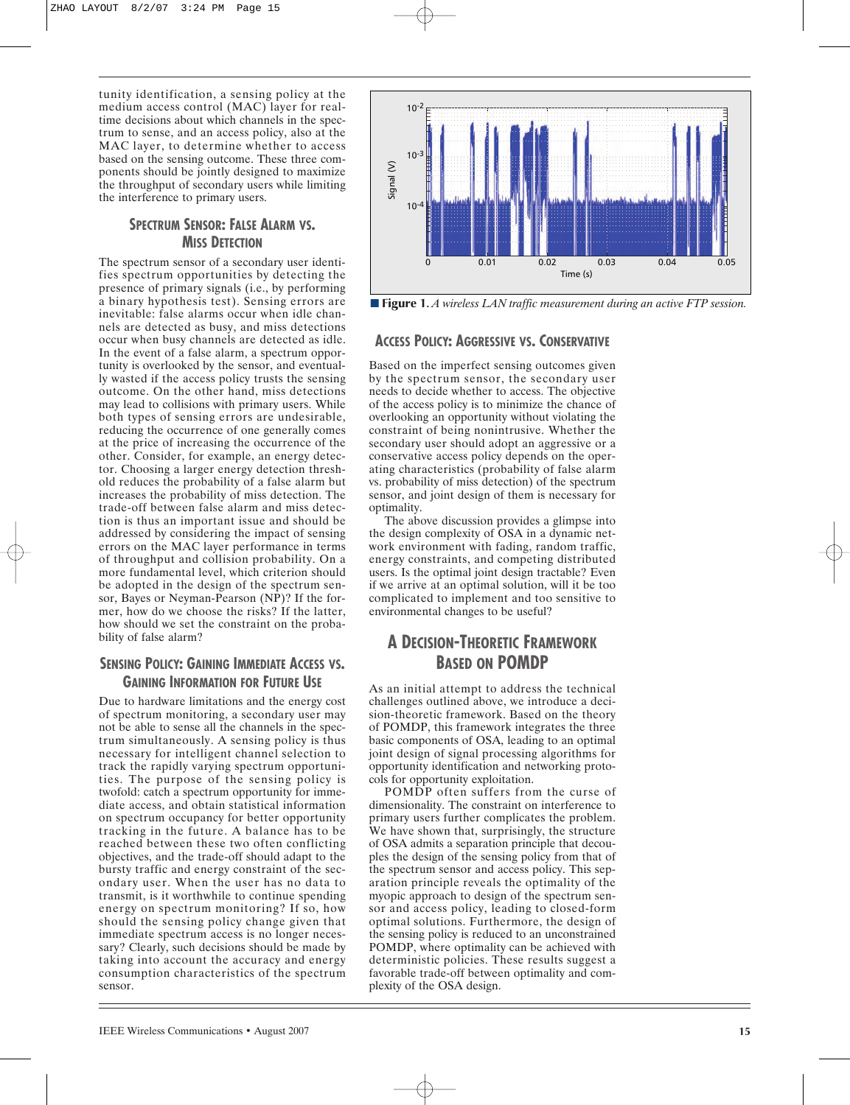tunity identification, a sensing policy at the medium access control (MAC) layer for realtime decisions about which channels in the spectrum to sense, and an access policy, also at the MAC layer, to determine whether to access based on the sensing outcome. These three components should be jointly designed to maximize the throughput of secondary users while limiting the interference to primary users.

## **SPECTRUM SENSOR: FALSE ALARM VS. MISS DETECTION**

The spectrum sensor of a secondary user identifies spectrum opportunities by detecting the presence of primary signals (i.e., by performing a binary hypothesis test). Sensing errors are inevitable: false alarms occur when idle channels are detected as busy, and miss detections occur when busy channels are detected as idle. In the event of a false alarm, a spectrum opportunity is overlooked by the sensor, and eventually wasted if the access policy trusts the sensing outcome. On the other hand, miss detections may lead to collisions with primary users. While both types of sensing errors are undesirable, reducing the occurrence of one generally comes at the price of increasing the occurrence of the other. Consider, for example, an energy detector. Choosing a larger energy detection threshold reduces the probability of a false alarm but increases the probability of miss detection. The trade-off between false alarm and miss detection is thus an important issue and should be addressed by considering the impact of sensing errors on the MAC layer performance in terms of throughput and collision probability. On a more fundamental level, which criterion should be adopted in the design of the spectrum sensor, Bayes or Neyman-Pearson (NP)? If the former, how do we choose the risks? If the latter, how should we set the constraint on the probability of false alarm?

## **SENSING POLICY: GAINING IMMEDIATE ACCESS VS. GAINING INFORMATION FOR FUTURE USE**

Due to hardware limitations and the energy cost of spectrum monitoring, a secondary user may not be able to sense all the channels in the spectrum simultaneously. A sensing policy is thus necessary for intelligent channel selection to track the rapidly varying spectrum opportunities. The purpose of the sensing policy is twofold: catch a spectrum opportunity for immediate access, and obtain statistical information on spectrum occupancy for better opportunity tracking in the future. A balance has to be reached between these two often conflicting objectives, and the trade-off should adapt to the bursty traffic and energy constraint of the secondary user. When the user has no data to transmit, is it worthwhile to continue spending energy on spectrum monitoring? If so, how should the sensing policy change given that immediate spectrum access is no longer necessary? Clearly, such decisions should be made by taking into account the accuracy and energy consumption characteristics of the spectrum sensor.



■ **Figure 1.** *A wireless LAN traffic measurement during an active FTP session.* 

## **ACCESS POLICY: AGGRESSIVE VS. CONSERVATIVE**

Based on the imperfect sensing outcomes given by the spectrum sensor, the secondary user needs to decide whether to access. The objective of the access policy is to minimize the chance of overlooking an opportunity without violating the constraint of being nonintrusive. Whether the secondary user should adopt an aggressive or a conservative access policy depends on the operating characteristics (probability of false alarm vs. probability of miss detection) of the spectrum sensor, and joint design of them is necessary for optimality.

The above discussion provides a glimpse into the design complexity of OSA in a dynamic network environment with fading, random traffic, energy constraints, and competing distributed users. Is the optimal joint design tractable? Even if we arrive at an optimal solution, will it be too complicated to implement and too sensitive to environmental changes to be useful?

# **A DECISION-THEORETIC FRAMEWORK BASED ON POMDP**

As an initial attempt to address the technical challenges outlined above, we introduce a decision-theoretic framework. Based on the theory of POMDP, this framework integrates the three basic components of OSA, leading to an optimal joint design of signal processing algorithms for opportunity identification and networking protocols for opportunity exploitation.

POMDP often suffers from the curse of dimensionality. The constraint on interference to primary users further complicates the problem. We have shown that, surprisingly, the structure of OSA admits a separation principle that decouples the design of the sensing policy from that of the spectrum sensor and access policy. This separation principle reveals the optimality of the myopic approach to design of the spectrum sensor and access policy, leading to closed-form optimal solutions. Furthermore, the design of the sensing policy is reduced to an unconstrained POMDP, where optimality can be achieved with deterministic policies. These results suggest a favorable trade-off between optimality and complexity of the OSA design.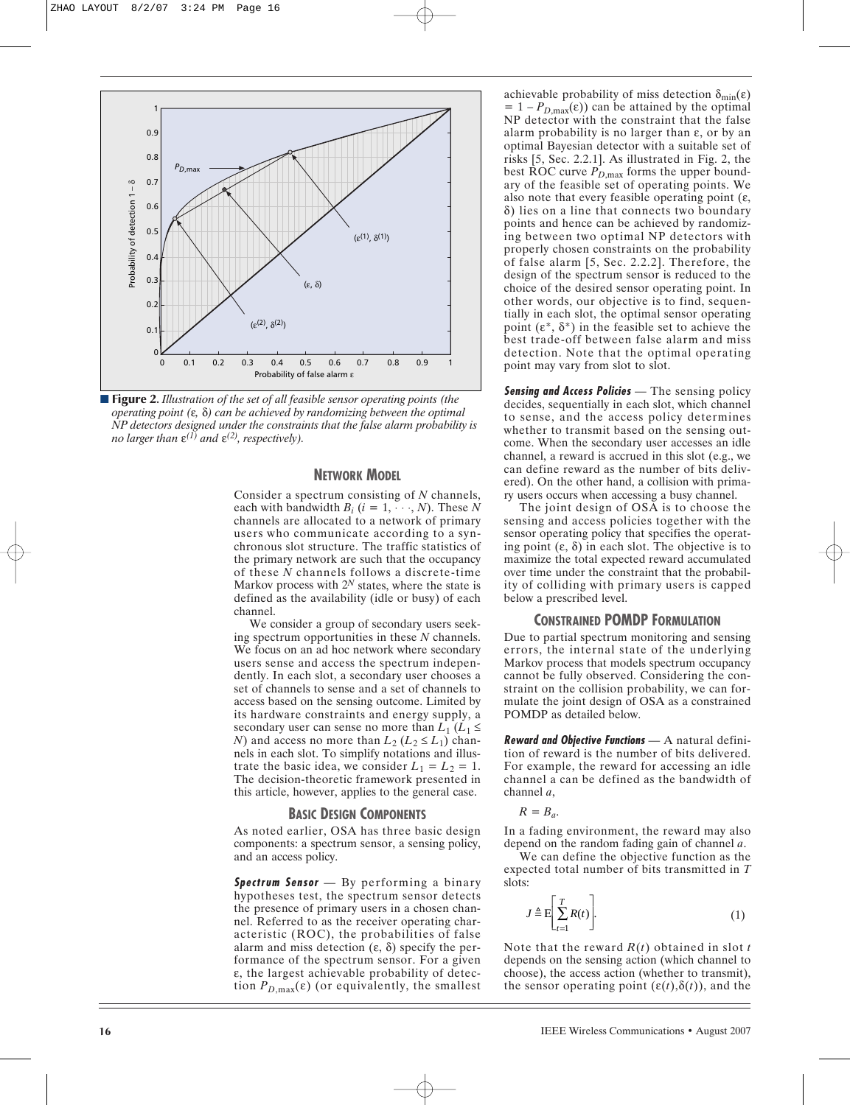

■ **Figure 2.** *Illustration of the set of all feasible sensor operating points (the operating point (*ε*,* δ*) can be achieved by randomizing between the optimal NP detectors designed under the constraints that the false alarm probability is no larger than*  $\varepsilon^{(1)}$  *and*  $\varepsilon^{(2)}$ *, respectively*).

## **NETWORK MODEL**

Consider a spectrum consisting of *N* channels, each with bandwidth  $B_i$  ( $i = 1, \dots, N$ ). These N channels are allocated to a network of primary users who communicate according to a synchronous slot structure. The traffic statistics of the primary network are such that the occupancy of these *N* channels follows a discrete-time Markov process with  $2^N$  states, where the state is defined as the availability (idle or busy) of each channel.

We consider a group of secondary users seeking spectrum opportunities in these *N* channels. We focus on an ad hoc network where secondary users sense and access the spectrum independently. In each slot, a secondary user chooses a set of channels to sense and a set of channels to access based on the sensing outcome. Limited by its hardware constraints and energy supply, a secondary user can sense no more than  $L_1$  ( $L_1 \leq$ *N*) and access no more than  $L_2$  ( $L_2 \le L_1$ ) channels in each slot. To simplify notations and illustrate the basic idea, we consider  $L_1 = L_2 = 1$ . The decision-theoretic framework presented in this article, however, applies to the general case.

#### **BASIC DESIGN COMPONENTS**

As noted earlier, OSA has three basic design components: a spectrum sensor, a sensing policy, and an access policy.

**Spectrum Sensor** — By performing a binary hypotheses test, the spectrum sensor detects the presence of primary users in a chosen channel. Referred to as the receiver operating characteristic (ROC), the probabilities of false alarm and miss detection  $(ε, δ)$  specify the performance of the spectrum sensor. For a given ε, the largest achievable probability of detection  $P_{D,\text{max}}(\varepsilon)$  (or equivalently, the smallest achievable probability of miss detection  $\delta_{\min}(\varepsilon)$  $= 1 - P_{D,\text{max}}(\varepsilon)$  can be attained by the optimal NP detector with the constraint that the false alarm probability is no larger than ε, or by an optimal Bayesian detector with a suitable set of risks [5, Sec. 2.2.1]. As illustrated in Fig. 2, the best ROC curve  $P_{D,\text{max}}$  forms the upper boundary of the feasible set of operating points. We also note that every feasible operating point  $(\epsilon, \epsilon)$ δ) lies on a line that connects two boundary points and hence can be achieved by randomizing between two optimal NP detectors with properly chosen constraints on the probability of false alarm [5, Sec. 2.2.2]. Therefore, the design of the spectrum sensor is reduced to the choice of the desired sensor operating point. In other words, our objective is to find, sequentially in each slot, the optimal sensor operating point  $(\varepsilon^*, \delta^*)$  in the feasible set to achieve the best trade-off between false alarm and miss detection. Note that the optimal operating point may vary from slot to slot.

**Sensing and Access Policies** — The sensing policy decides, sequentially in each slot, which channel to sense, and the access policy determines whether to transmit based on the sensing outcome. When the secondary user accesses an idle channel, a reward is accrued in this slot (e.g., we can define reward as the number of bits delivered). On the other hand, a collision with primary users occurs when accessing a busy channel.

The joint design of OSA is to choose the sensing and access policies together with the sensor operating policy that specifies the operating point  $(ε, δ)$  in each slot. The objective is to maximize the total expected reward accumulated over time under the constraint that the probability of colliding with primary users is capped below a prescribed level.

#### **CONSTRAINED POMDP FORMULATION**

Due to partial spectrum monitoring and sensing errors, the internal state of the underlying Markov process that models spectrum occupancy cannot be fully observed. Considering the constraint on the collision probability, we can formulate the joint design of OSA as a constrained POMDP as detailed below.

**Reward and Objective Functions** — A natural definition of reward is the number of bits delivered. For example, the reward for accessing an idle channel a can be defined as the bandwidth of channel *a*,

$$
R=B_a.
$$

In a fading environment, the reward may also depend on the random fading gain of channel *a*.

We can define the objective function as the expected total number of bits transmitted in *T* slots:

$$
J \triangleq \mathbf{E} \left[ \sum_{t=1}^{T} R(t) \right]. \tag{1}
$$

Note that the reward *R*(*t*) obtained in slot *t* depends on the sensing action (which channel to choose), the access action (whether to transmit), the sensor operating point  $(\varepsilon(t),\delta(t))$ , and the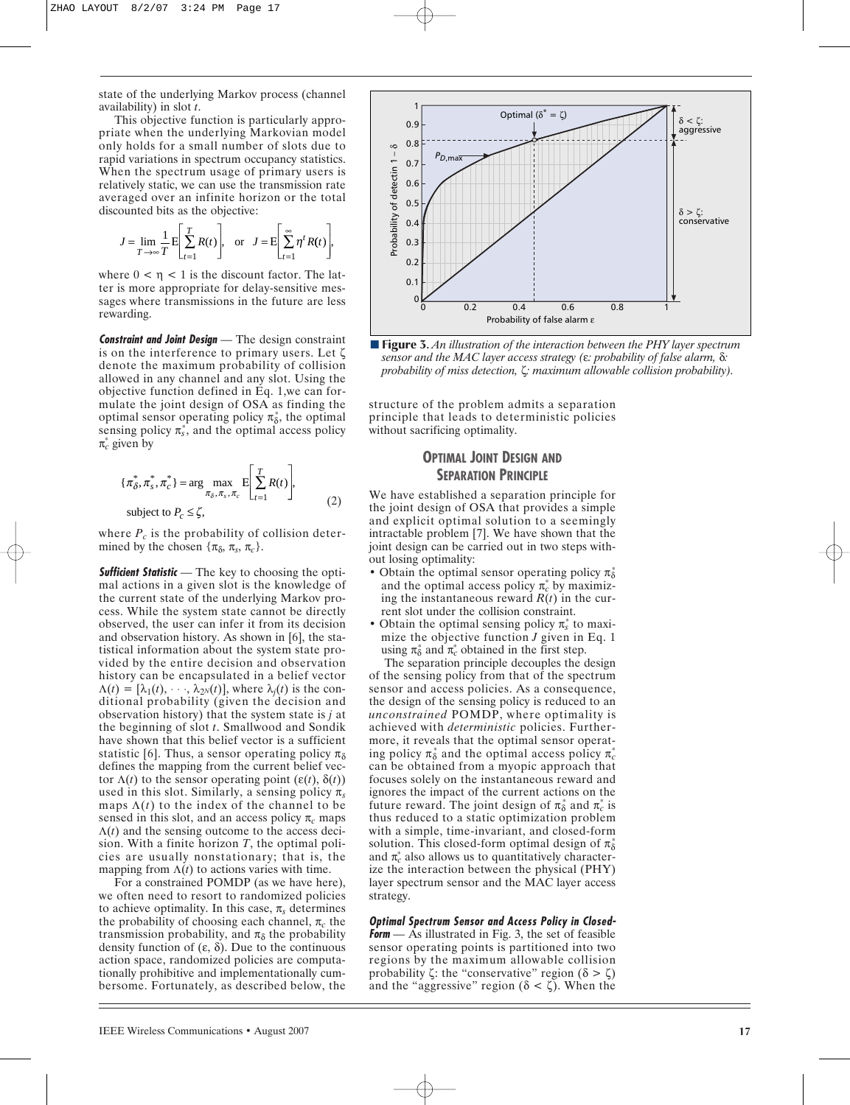state of the underlying Markov process (channel availability) in slot *t*.

This objective function is particularly appropriate when the underlying Markovian model only holds for a small number of slots due to rapid variations in spectrum occupancy statistics. When the spectrum usage of primary users is relatively static, we can use the transmission rate averaged over an infinite horizon or the total discounted bits as the objective:

$$
J = \lim_{T \to \infty} \frac{1}{T} \mathbb{E} \left[ \sum_{t=1}^{T} R(t) \right], \text{ or } J = \mathbb{E} \left[ \sum_{t=1}^{\infty} \eta^{t} R(t) \right],
$$

where  $0 < \eta < 1$  is the discount factor. The latter is more appropriate for delay-sensitive messages where transmissions in the future are less rewarding.

**Constraint and Joint Design** — The design constraint is on the interference to primary users. Let ζ denote the maximum probability of collision allowed in any channel and any slot. Using the objective function defined in Eq. 1,we can formulate the joint design of OSA as finding the optimal sensor operating policy  $\pi_{\delta}^*$ , the optimal sensing policy  $\pi_s^*$ , and the optimal access policy  $\pi_c^*$  given by

$$
\{\pi_{\delta}^*, \pi_s^*, \pi_c^*\} = \arg\max_{\pi_{\delta}, \pi_s, \pi_c} E\left[\sum_{t=1}^T R(t)\right],
$$
  
subject to  $P_c \le \zeta$ , (2)

where  $P_c$  is the probability of collision determined by the chosen  $\{\pi_{\delta}, \pi_{s}, \pi_{c}\}.$ 

**Sufficient Statistic** — The key to choosing the optimal actions in a given slot is the knowledge of the current state of the underlying Markov process. While the system state cannot be directly observed, the user can infer it from its decision and observation history. As shown in [6], the statistical information about the system state provided by the entire decision and observation history can be encapsulated in a belief vector  $\Lambda(t) = [\lambda_1(t), \dots, \lambda_{2N}(t)]$ , where  $\lambda_i(t)$  is the conditional probability (given the decision and observation history) that the system state is *j* at the beginning of slot *t*. Smallwood and Sondik have shown that this belief vector is a sufficient statistic [6]. Thus, a sensor operating policy  $\pi_{\delta}$ defines the mapping from the current belief vector Λ(*t*) to the sensor operating point (ε(*t*), δ(*t*)) used in this slot. Similarly, a sensing policy  $\pi_s$ maps  $\Lambda(t)$  to the index of the channel to be sensed in this slot, and an access policy  $\pi_c$  maps  $\Lambda(t)$  and the sensing outcome to the access decision. With a finite horizon *T*, the optimal policies are usually nonstationary; that is, the mapping from  $\Lambda(t)$  to actions varies with time.

For a constrained POMDP (as we have here), we often need to resort to randomized policies to achieve optimality. In this case,  $\pi_s$  determines the probability of choosing each channel,  $\pi_c$  the transmission probability, and  $\pi_{\delta}$  the probability density function of (ε, δ). Due to the continuous action space, randomized policies are computationally prohibitive and implementationally cumbersome. Fortunately, as described below, the



■ **Figure 3.** *An illustration of the interaction between the PHY layer spectrum sensor and the MAC layer access strategy (*ε*: probability of false alarm,* δ*: probability of miss detection,* ζ*: maximum allowable collision probability).*

structure of the problem admits a separation principle that leads to deterministic policies without sacrificing optimality.

## **OPTIMAL JOINT DESIGN AND SEPARATION PRINCIPLE**

We have established a separation principle for the joint design of OSA that provides a simple and explicit optimal solution to a seemingly intractable problem [7]. We have shown that the joint design can be carried out in two steps without losing optimality:

- Obtain the optimal sensor operating policy  $\pi_{\delta}^*$ and the optimal access policy  $\pi_c^*$  by maximizing the instantaneous reward  $R(t)$  in the current slot under the collision constraint.
- Obtain the optimal sensing policy  $\pi_s^*$  to maximize the objective function *J* given in Eq. 1 using  $\pi_{\delta}^{*}$  and  $\pi_{c}^{*}$  obtained in the first step.

The separation principle decouples the design of the sensing policy from that of the spectrum sensor and access policies. As a consequence, the design of the sensing policy is reduced to an *unconstrained* POMDP, where optimality is achieved with *deterministic* policies. Furthermore, it reveals that the optimal sensor operating policy  $\pi_{\delta}^{*}$  and the optimal access policy  $\pi_{c}^{*}$ can be obtained from a myopic approach that focuses solely on the instantaneous reward and ignores the impact of the current actions on the future reward. The joint design of  $\pi^*_\delta$  and  $\pi^*_c$  is thus reduced to a static optimization problem with a simple, time-invariant, and closed-form solution. This closed-form optimal design of  $\pi^*_\delta$ and  $\pi_c^*$  also allows us to quantitatively characterize the interaction between the physical (PHY) layer spectrum sensor and the MAC layer access strategy.

**Optimal Spectrum Sensor and Access Policy in Closed-**

**Form** — As illustrated in Fig. 3, the set of feasible sensor operating points is partitioned into two regions by the maximum allowable collision probability  $\zeta$ : the "conservative" region  $(\delta > \zeta)$ and the "aggressive" region ( $\delta < \zeta$ ). When the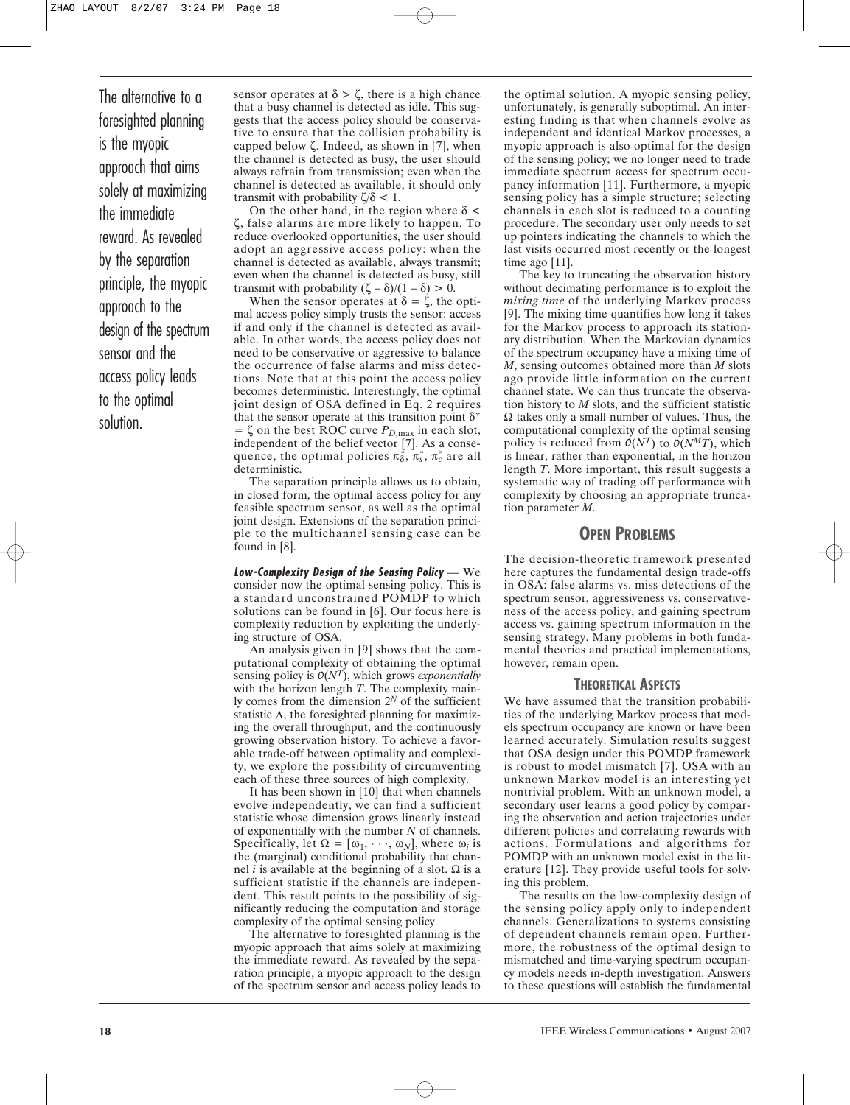The alternative to a foresighted planning is the myopic approach that aims solely at maximizing the immediate reward. As revealed by the separation principle, the myopic approach to the design of the spectrum sensor and the access policy leads to the optimal solution.

sensor operates at  $\delta > \zeta$ , there is a high chance that a busy channel is detected as idle. This suggests that the access policy should be conservative to ensure that the collision probability is capped below ζ. Indeed, as shown in [7], when the channel is detected as busy, the user should always refrain from transmission; even when the channel is detected as available, it should only transmit with probability  $\zeta/\delta$  < 1.

On the other hand, in the region where  $\delta$  < ζ, false alarms are more likely to happen. To reduce overlooked opportunities, the user should adopt an aggressive access policy: when the channel is detected as available, always transmit; even when the channel is detected as busy, still transmit with probability  $(\zeta - \delta)/(1 - \delta) > 0$ .

When the sensor operates at  $\delta = \zeta$ , the optimal access policy simply trusts the sensor: access if and only if the channel is detected as available. In other words, the access policy does not need to be conservative or aggressive to balance the occurrence of false alarms and miss detections. Note that at this point the access policy becomes deterministic. Interestingly, the optimal joint design of OSA defined in Eq. 2 requires that the sensor operate at this transition point  $\delta^*$  $= \zeta$  on the best ROC curve  $P_{D,\text{max}}$  in each slot, independent of the belief vector [7]. As a consequence, the optimal policies  $\pi_{\delta}^{*}, \pi_{s}^{*}, \pi_{c}^{*}$  are all deterministic.

The separation principle allows us to obtain, in closed form, the optimal access policy for any feasible spectrum sensor, as well as the optimal joint design. Extensions of the separation principle to the multichannel sensing case can be found in [8].

**Low-Complexity Design of the Sensing Policy** — We consider now the optimal sensing policy. This is a standard unconstrained POMDP to which solutions can be found in [6]. Our focus here is complexity reduction by exploiting the underlying structure of OSA.

An analysis given in [9] shows that the computational complexity of obtaining the optimal sensing policy is O(*NT*), which grows *exponentially* with the horizon length *T*. The complexity mainly comes from the dimension  $2<sup>N</sup>$  of the sufficient statistic Λ, the foresighted planning for maximizing the overall throughput, and the continuously growing observation history. To achieve a favorable trade-off between optimality and complexity, we explore the possibility of circumventing each of these three sources of high complexity.

It has been shown in [10] that when channels evolve independently, we can find a sufficient statistic whose dimension grows linearly instead of exponentially with the number *N* of channels. Specifically, let  $\Omega = [\omega_1, \dots, \omega_N]$ , where  $\omega_i$  is the (marginal) conditional probability that channel *i* is available at the beginning of a slot.  $Ω$  is a sufficient statistic if the channels are independent. This result points to the possibility of significantly reducing the computation and storage complexity of the optimal sensing policy.

The alternative to foresighted planning is the myopic approach that aims solely at maximizing the immediate reward. As revealed by the separation principle, a myopic approach to the design of the spectrum sensor and access policy leads to the optimal solution. A myopic sensing policy, unfortunately, is generally suboptimal. An interesting finding is that when channels evolve as independent and identical Markov processes, a myopic approach is also optimal for the design of the sensing policy; we no longer need to trade immediate spectrum access for spectrum occupancy information [11]. Furthermore, a myopic sensing policy has a simple structure; selecting channels in each slot is reduced to a counting procedure. The secondary user only needs to set up pointers indicating the channels to which the last visits occurred most recently or the longest time ago [11].

The key to truncating the observation history without decimating performance is to exploit the *mixing time* of the underlying Markov process [9]. The mixing time quantifies how long it takes for the Markov process to approach its stationary distribution. When the Markovian dynamics of the spectrum occupancy have a mixing time of *M*, sensing outcomes obtained more than *M* slots ago provide little information on the current channel state. We can thus truncate the observation history to *M* slots, and the sufficient statistic  $\Omega$  takes only a small number of values. Thus, the computational complexity of the optimal sensing policy is reduced from  $\mathcal{O}(N^T)$  to  $\mathcal{O}(N^M T)$ , which is linear, rather than exponential, in the horizon length *T*. More important, this result suggests a systematic way of trading off performance with complexity by choosing an appropriate truncation parameter *M*.

## **OPEN PROBLEMS**

The decision-theoretic framework presented here captures the fundamental design trade-offs in OSA: false alarms vs. miss detections of the spectrum sensor, aggressiveness vs. conservativeness of the access policy, and gaining spectrum access vs. gaining spectrum information in the sensing strategy. Many problems in both fundamental theories and practical implementations, however, remain open.

## **THEORETICAL ASPECTS**

We have assumed that the transition probabilities of the underlying Markov process that models spectrum occupancy are known or have been learned accurately. Simulation results suggest that OSA design under this POMDP framework is robust to model mismatch [7]. OSA with an unknown Markov model is an interesting yet nontrivial problem. With an unknown model, a secondary user learns a good policy by comparing the observation and action trajectories under different policies and correlating rewards with actions. Formulations and algorithms for POMDP with an unknown model exist in the literature [12]. They provide useful tools for solving this problem.

The results on the low-complexity design of the sensing policy apply only to independent channels. Generalizations to systems consisting of dependent channels remain open. Furthermore, the robustness of the optimal design to mismatched and time-varying spectrum occupancy models needs in-depth investigation. Answers to these questions will establish the fundamental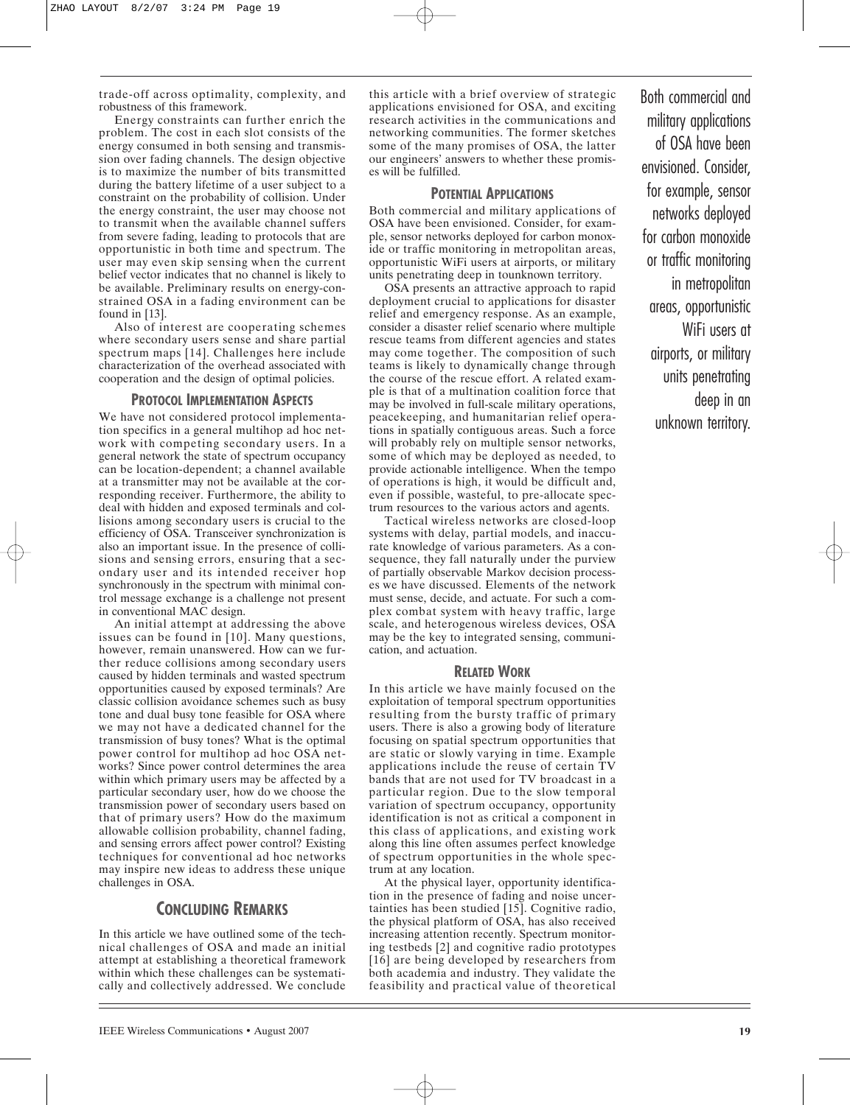trade-off across optimality, complexity, and robustness of this framework.

Energy constraints can further enrich the problem. The cost in each slot consists of the energy consumed in both sensing and transmission over fading channels. The design objective is to maximize the number of bits transmitted during the battery lifetime of a user subject to a constraint on the probability of collision. Under the energy constraint, the user may choose not to transmit when the available channel suffers from severe fading, leading to protocols that are opportunistic in both time and spectrum. The user may even skip sensing when the current belief vector indicates that no channel is likely to be available. Preliminary results on energy-constrained OSA in a fading environment can be found in [13].

Also of interest are cooperating schemes where secondary users sense and share partial spectrum maps [14]. Challenges here include characterization of the overhead associated with cooperation and the design of optimal policies.

## **PROTOCOL IMPLEMENTATION ASPECTS**

We have not considered protocol implementation specifics in a general multihop ad hoc network with competing secondary users. In a general network the state of spectrum occupancy can be location-dependent; a channel available at a transmitter may not be available at the corresponding receiver. Furthermore, the ability to deal with hidden and exposed terminals and collisions among secondary users is crucial to the efficiency of OSA. Transceiver synchronization is also an important issue. In the presence of collisions and sensing errors, ensuring that a secondary user and its intended receiver hop synchronously in the spectrum with minimal control message exchange is a challenge not present in conventional MAC design.

An initial attempt at addressing the above issues can be found in [10]. Many questions, however, remain unanswered. How can we further reduce collisions among secondary users caused by hidden terminals and wasted spectrum opportunities caused by exposed terminals? Are classic collision avoidance schemes such as busy tone and dual busy tone feasible for OSA where we may not have a dedicated channel for the transmission of busy tones? What is the optimal power control for multihop ad hoc OSA networks? Since power control determines the area within which primary users may be affected by a particular secondary user, how do we choose the transmission power of secondary users based on that of primary users? How do the maximum allowable collision probability, channel fading, and sensing errors affect power control? Existing techniques for conventional ad hoc networks may inspire new ideas to address these unique challenges in OSA.

## **CONCLUDING REMARKS**

In this article we have outlined some of the technical challenges of OSA and made an initial attempt at establishing a theoretical framework within which these challenges can be systematically and collectively addressed. We conclude this article with a brief overview of strategic applications envisioned for OSA, and exciting research activities in the communications and networking communities. The former sketches some of the many promises of OSA, the latter our engineers' answers to whether these promises will be fulfilled.

## **POTENTIAL APPLICATIONS**

Both commercial and military applications of OSA have been envisioned. Consider, for example, sensor networks deployed for carbon monoxide or traffic monitoring in metropolitan areas, opportunistic WiFi users at airports, or military units penetrating deep in tounknown territory.

OSA presents an attractive approach to rapid deployment crucial to applications for disaster relief and emergency response. As an example, consider a disaster relief scenario where multiple rescue teams from different agencies and states may come together. The composition of such teams is likely to dynamically change through the course of the rescue effort. A related example is that of a multination coalition force that may be involved in full-scale military operations, peacekeeping, and humanitarian relief operations in spatially contiguous areas. Such a force will probably rely on multiple sensor networks, some of which may be deployed as needed, to provide actionable intelligence. When the tempo of operations is high, it would be difficult and, even if possible, wasteful, to pre-allocate spectrum resources to the various actors and agents.

Tactical wireless networks are closed-loop systems with delay, partial models, and inaccurate knowledge of various parameters. As a consequence, they fall naturally under the purview of partially observable Markov decision processes we have discussed. Elements of the network must sense, decide, and actuate. For such a complex combat system with heavy traffic, large scale, and heterogenous wireless devices, OSA may be the key to integrated sensing, communication, and actuation.

## **RELATED WORK**

In this article we have mainly focused on the exploitation of temporal spectrum opportunities resulting from the bursty traffic of primary users. There is also a growing body of literature focusing on spatial spectrum opportunities that are static or slowly varying in time. Example applications include the reuse of certain TV bands that are not used for TV broadcast in a particular region. Due to the slow temporal variation of spectrum occupancy, opportunity identification is not as critical a component in this class of applications, and existing work along this line often assumes perfect knowledge of spectrum opportunities in the whole spectrum at any location.

At the physical layer, opportunity identification in the presence of fading and noise uncertainties has been studied [15]. Cognitive radio, the physical platform of OSA, has also received increasing attention recently. Spectrum monitoring testbeds [2] and cognitive radio prototypes [16] are being developed by researchers from both academia and industry. They validate the feasibility and practical value of theoretical Both commercial and military applications of OSA have been envisioned. Consider, for example, sensor networks deployed for carbon monoxide or traffic monitoring in metropolitan areas, opportunistic WiFi users at airports, or military units penetrating deep in an unknown territory.